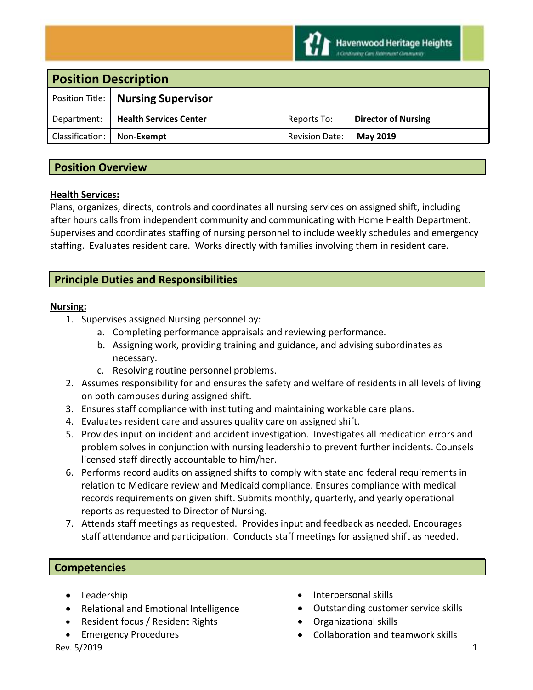

| <b>Position Description</b>          |                       |                            |
|--------------------------------------|-----------------------|----------------------------|
| Position Title:   Nursing Supervisor |                       |                            |
| <b>Health Services Center</b>        | Reports To:           | <b>Director of Nursing</b> |
| Non-Exempt                           | <b>Revision Date:</b> | <b>May 2019</b>            |
|                                      |                       |                            |

# **Position Overview**

#### **Health Services:**

Plans, organizes, directs, controls and coordinates all nursing services on assigned shift, including after hours calls from independent community and communicating with Home Health Department. Supervises and coordinates staffing of nursing personnel to include weekly schedules and emergency staffing. Evaluates resident care. Works directly with families involving them in resident care.

# **Principle Duties and Responsibilities**

#### **Nursing:**

- 1. Supervises assigned Nursing personnel by:
	- a. Completing performance appraisals and reviewing performance.
	- b. Assigning work, providing training and guidance, and advising subordinates as necessary.
	- c. Resolving routine personnel problems.
- 2. Assumes responsibility for and ensures the safety and welfare of residents in all levels of living on both campuses during assigned shift.
- 3. Ensures staff compliance with instituting and maintaining workable care plans.
- 4. Evaluates resident care and assures quality care on assigned shift.
- 5. Provides input on incident and accident investigation. Investigates all medication errors and problem solves in conjunction with nursing leadership to prevent further incidents. Counsels licensed staff directly accountable to him/her.
- 6. Performs record audits on assigned shifts to comply with state and federal requirements in relation to Medicare review and Medicaid compliance. Ensures compliance with medical records requirements on given shift. Submits monthly, quarterly, and yearly operational reports as requested to Director of Nursing.
- 7. Attends staff meetings as requested. Provides input and feedback as needed. Encourages staff attendance and participation. Conducts staff meetings for assigned shift as needed.

## **Competencies**

- Leadership
- Relational and Emotional Intelligence
- Resident focus / Resident Rights
- Emergency Procedures
- Interpersonal skills
- Outstanding customer service skills
- Organizational skills
- Collaboration and teamwork skills